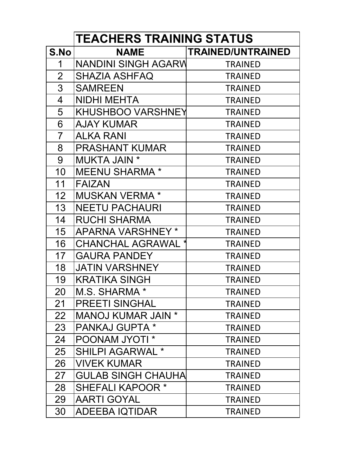|                 | <b>TEACHERS TRAINING STATUS</b>  |                          |  |  |  |
|-----------------|----------------------------------|--------------------------|--|--|--|
| S.No            | NAME                             | <b>TRAINED/UNTRAINED</b> |  |  |  |
| 1               | NANDINI SINGH AGARW              | <b>TRAINED</b>           |  |  |  |
| $\overline{2}$  | SHAZIA ASHFAQ                    | <b>TRAINED</b>           |  |  |  |
| 3               | <b>SAMREEN</b>                   | <b>TRAINED</b>           |  |  |  |
| 4               | NIDHI MEHTA                      | <b>TRAINED</b>           |  |  |  |
| 5               | KHUSHBOO VARSHNEY                | <b>TRAINED</b>           |  |  |  |
| 6               | <b>AJAY KUMAR</b>                | <b>TRAINED</b>           |  |  |  |
| $\overline{7}$  | <b>ALKA RANI</b>                 | <b>TRAINED</b>           |  |  |  |
| 8               | <b>PRASHANT KUMAR</b>            | <b>TRAINED</b>           |  |  |  |
| 9               | <b>MUKTA JAIN *</b>              | <b>TRAINED</b>           |  |  |  |
| 10              | <b>MEENU SHARMA*</b>             | <b>TRAINED</b>           |  |  |  |
| 11              | <b>FAIZAN</b>                    | <b>TRAINED</b>           |  |  |  |
| 12 <sup>2</sup> | <b>MUSKAN VERMA*</b>             | <b>TRAINED</b>           |  |  |  |
| 13 <sup>°</sup> | <b>NEETU PACHAURI</b>            | <b>TRAINED</b>           |  |  |  |
| 14              | <b>RUCHI SHARMA</b>              | <b>TRAINED</b>           |  |  |  |
| 15              | APARNA VARSHNEY *                | <b>TRAINED</b>           |  |  |  |
| 16              | <b>CHANCHAL AGRAWAL *</b>        | <b>TRAINED</b>           |  |  |  |
| 17              | <b>GAURA PANDEY</b>              | <b>TRAINED</b>           |  |  |  |
| 18              | <b>JATIN VARSHNEY</b>            | <b>TRAINED</b>           |  |  |  |
| 19              | <b>KRATIKA SINGH</b>             | <b>TRAINED</b>           |  |  |  |
| 20              | M.S. SHARMA *                    | <b>TRAINED</b>           |  |  |  |
| 21              | <b>PREETI SINGHAL</b>            | <b>TRAINED</b>           |  |  |  |
| 22              | <b>MANOJ KUMAR JAIN *</b>        | <b>TRAINED</b>           |  |  |  |
| 23              | <b>PANKAJ GUPTA *</b>            | <b>TRAINED</b>           |  |  |  |
| 24              | <b>POONAM JYOTI *</b>            | <b>TRAINED</b>           |  |  |  |
| 25              | $\star$<br><b>SHILPI AGARWAL</b> | <b>TRAINED</b>           |  |  |  |
| 26              | <b>VIVEK KUMAR</b>               | <b>TRAINED</b>           |  |  |  |
| 27              | <b>GULAB SINGH CHAUHA</b>        | <b>TRAINED</b>           |  |  |  |
| 28              | <b>SHEFALI KAPOOR *</b>          | <b>TRAINED</b>           |  |  |  |
| 29              | <b>AARTI GOYAL</b>               | <b>TRAINED</b>           |  |  |  |
| 30              | ADEEBA IQTIDAR                   | <b>TRAINED</b>           |  |  |  |